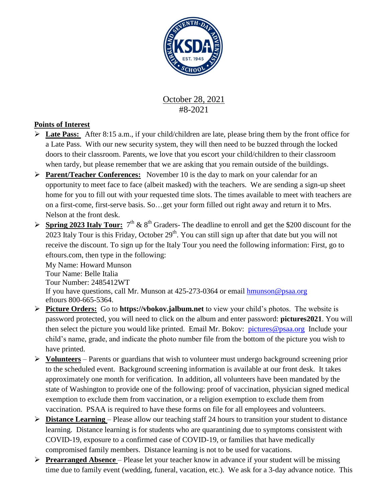

### October 28, 2021 #8-2021

#### **Points of Interest**

- **Late Pass:** After 8:15 a.m., if your child/children are late, please bring them by the front office for a Late Pass. With our new security system, they will then need to be buzzed through the locked doors to their classroom. Parents, we love that you escort your child/children to their classroom when tardy, but please remember that we are asking that you remain outside of the buildings.
- **Parent/Teacher Conferences:** November 10 is the day to mark on your calendar for an opportunity to meet face to face (albeit masked) with the teachers. We are sending a sign-up sheet home for you to fill out with your requested time slots. The times available to meet with teachers are on a first-come, first-serve basis. So…get your form filled out right away and return it to Mrs. Nelson at the front desk.
- **Spring 2023 Italy Tour:**  $7<sup>th</sup>$  &  $8<sup>th</sup>$  Graders-The deadline to enroll and get the \$200 discount for the 2023 Italy Tour is this Friday, October  $29<sup>th</sup>$ . You can still sign up after that date but you will not receive the discount. To sign up for the Italy Tour you need the following information: First, go to eftours.com, then type in the following:

My Name: Howard Munson Tour Name: Belle Italia Tour Number: 2485412WT If you have questions, call Mr. Munson at 425-273-0364 or email [hmunson@psaa.org](mailto:hmunson@psaa.org)  eftours 800-665-5364.

- **Picture Orders:** Go to **https://vbokov.jalbum.net** to view your child's photos. The website is password protected, you will need to click on the album and enter password: **pictures2021**. You will then select the picture you would like printed. Email Mr. Bokov: [pictures@psaa.org](mailto:vbokov@psaa.org) Include your child's name, grade, and indicate the photo number file from the bottom of the picture you wish to have printed.
- **Volunteers** Parents or guardians that wish to volunteer must undergo background screening prior to the scheduled event. Background screening information is available at our front desk. It takes approximately one month for verification. In addition, all volunteers have been mandated by the state of Washington to provide one of the following: proof of vaccination, physician signed medical exemption to exclude them from vaccination, or a religion exemption to exclude them from vaccination. PSAA is required to have these forms on file for all employees and volunteers.
- **Distance Learning**  Please allow our teaching staff 24 hours to transition your student to distance learning. Distance learning is for students who are quarantining due to symptoms consistent with COVID-19, exposure to a confirmed case of COVID-19, or families that have medically compromised family members. Distance learning is not to be used for vacations.
- **Prearranged Absence** Please let your teacher know in advance if your student will be missing time due to family event (wedding, funeral, vacation, etc.). We ask for a 3-day advance notice. This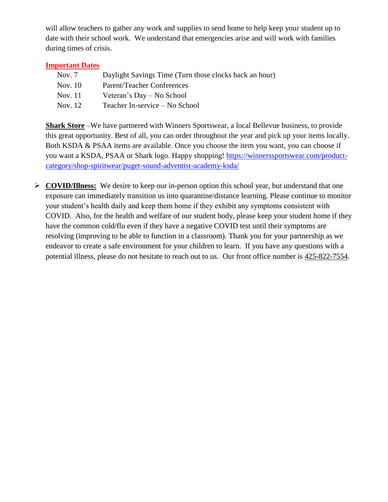will allow teachers to gather any work and supplies to send home to help keep your student up to date with their school work. We understand that emergencies arise and will work with families during times of crisis.

#### **Important Dates**

| Nov. 7  | Daylight Savings Time (Turn those clocks back an hour) |
|---------|--------------------------------------------------------|
| Nov. 10 | <b>Parent/Teacher Conferences</b>                      |
| Nov. 11 | Veteran's Day – No School                              |
| Nov. 12 | Teacher In-service – No School                         |

**Shark Store** –We have partnered with Winners Sportswear, a local Bellevue business, to provide this great opportunity. Best of all, you can order throughout the year and pick up your items locally. Both KSDA & PSAA items are available. Once you choose the item you want, you can choose if you want a KSDA, PSAA or Shark logo. Happy shopping! [https://winnerssportswear.com/product](https://winnerssportswear.com/product-category/shop-spiritwear/puget-sound-adventist-academy-ksda/)[category/shop-spiritwear/puget-sound-adventist-academy-ksda/](https://winnerssportswear.com/product-category/shop-spiritwear/puget-sound-adventist-academy-ksda/)

 **COVID/Illness:** We desire to keep our in-person option this school year, but understand that one exposure can immediately transition us into quarantine/distance learning. Please continue to monitor your student's health daily and keep them home if they exhibit any symptoms consistent with COVID. Also, for the health and welfare of our student body, please keep your student home if they have the common cold/flu even if they have a negative COVID test until their symptoms are resolving (improving to be able to function in a classroom). Thank you for your partnership as we endeavor to create a safe environment for your children to learn. If you have any questions with a potential illness, please do not hesitate to reach out to us. Our front office number is [425-822-7554.](tel:425-822-7554)